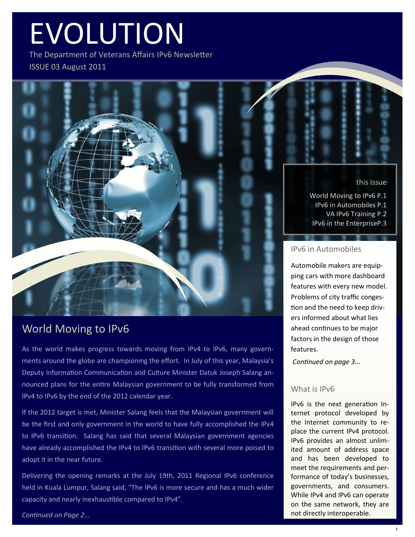# EVOLUTION

The Department of Veterans Affairs IPv6 Newsletter ISSUE 03 August 2011



World Moving to IPv6 P.1 IPv6 in Automobiles P.1 VA IPv6 Training P.2 IPv6 in the EnterpriseP.3

#### IPv6 in Automobiles

Automobile makers are equipping cars with more dashboard features with every new model. Problems of city traffic congestion and the need to keep drivers informed about what lies ahead continues to be major factors in the design of those features.

*Continued on page 3...*

#### What is **IPv6**

IPv6 is the next generation Internet protocol developed by the Internet community to replace the current IPv4 protocol. IPv6 provides an almost unlimited amount of address space and has been developed to meet the requirements and performance of today's businesses, governments, and consumers. While IPv4 and IPv6 can operate on the same network, they are not directly interoperable.

## World Moving to IPv6

As the world makes progress towards moving from IPv4 to IPv6, many governments around the globe are championing the effort. In July of this year, Malaysia's Deputy Information Communication and Culture Minister Datuk Joseph Salang announced plans for the entire Malaysian government to be fully transformed from IPv4 to IPv6 by the end of the 2012 calendar year.

If the 2012 target is met, Minister Salang feels that the Malaysian government will be the first and only government in the world to have fully accomplished the IPv4 to IPv6 transition. Salang has said that several Malaysian government agencies have already accomplished the IPv4 to IPv6 transition with several more poised to adopt it in the near future.

Delivering the opening remarks at the July 19th, 2011 Regional IPv6 conference held in Kuala Lumpur, Salang said, "The IPv6 is more secure and has a much wider capacity and nearly inexhaustible compared to IPv4".

*Continued on Page 2...*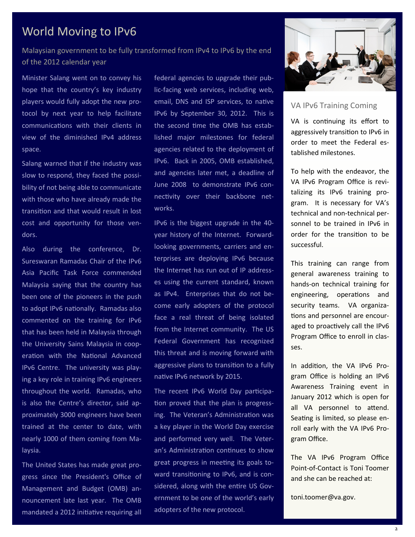## World Moving to IPv6

Malaysian government to be fully transformed from IPv4 to IPv6 by the end of the 2012 calendar year

Minister Salang went on to convey his hope that the country's key industry players would fully adopt the new protocol by next year to help facilitate communications with their clients in view of the diminished IPv4 address space.

Salang warned that if the industry was slow to respond, they faced the possibility of not being able to communicate with those who have already made the transition and that would result in lost cost and opportunity for those vendors.

Also during the conference, Dr. Sureswaran Ramadas Chair of the IPv6 Asia Pacific Task Force commended Malaysia saying that the country has been one of the pioneers in the push to adopt IPv6 nationally. Ramadas also commented on the training for IPv6 that has been held in Malaysia through the University Sains Malaysia in cooperation with the National Advanced IPv6 Centre. The university was playing a key role in training IPv6 engineers throughout the world. Ramadas, who is also the Centre's director, said approximately 3000 engineers have been trained at the center to date, with nearly 1000 of them coming from Malaysia.

The United States has made great progress since the President's Office of Management and Budget (OMB) announcement late last year. The OMB mandated a 2012 initiative requiring all federal agencies to upgrade their public-facing web services, including web, email, DNS and ISP services, to native IPv6 by September 30, 2012. This is the second time the OMB has established major milestones for federal agencies related to the deployment of IPv6. Back in 2005, OMB established, and agencies later met, a deadline of June 2008 to demonstrate IPv6 connectivity over their backbone networks.

IPv6 is the biggest upgrade in the 40 year history of the Internet. Forwardlooking governments, carriers and enterprises are deploying IPv6 because the Internet has run out of IP addresses using the current standard, known as IPv4. Enterprises that do not become early adopters of the protocol face a real threat of being isolated from the Internet community. The US Federal Government has recognized this threat and is moving forward with aggressive plans to transition to a fully native IPv6 network by 2015.

The recent IPv6 World Day participation proved that the plan is progressing. The Veteran's Administration was a key player in the World Day exercise and performed very well. The Veteran's Administration continues to show great progress in meeting its goals toward transitioning to IPv6, and is considered, along with the entire US Government to be one of the world's early adopters of the new protocol.



### VA IPv6 Training Coming

VA is continuing its effort to aggressively transition to IPv6 in order to meet the Federal established milestones.

To help with the endeavor, the VA IPv6 Program Office is revitalizing its IPv6 training program. It is necessary for VA's technical and non-technical personnel to be trained in IPv6 in order for the transition to be successful.

This training can range from general awareness training to hands-on technical training for engineering, operations and security teams. VA organizations and personnel are encouraged to proactively call the IPv6 Program Office to enroll in classes.

In addition, the VA IPv6 Program Office is holding an IPv6 Awareness Training event in January 2012 which is open for all VA personnel to attend. Seating is limited, so please enroll early with the VA IPv6 Program Office.

The VA IPv6 Program Office Point-of-Contact is Toni Toomer and she can be reached at:

toni.toomer@va.gov.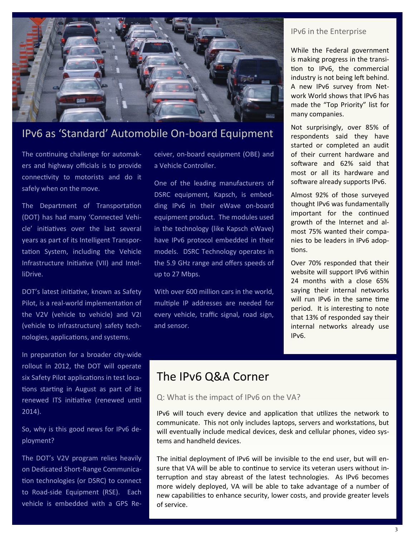

## IPv6 as 'Standard' Automobile On-board Equipment

The continuing challenge for automakers and highway officials is to provide connectivity to motorists and do it safely when on the move.

The Department of Transportation (DOT) has had many 'Connected Vehicle' initiatives over the last several years as part of its Intelligent Transportation System, including the Vehicle Infrastructure Initiative (VII) and IntelliDrive.

DOT's latest initiative, known as Safety Pilot, is a real-world implementation of the V2V (vehicle to vehicle) and V2I (vehicle to infrastructure) safety technologies, applications, and systems.

In preparation for a broader city-wide rollout in 2012, the DOT will operate six Safety Pilot applications in test locations starting in August as part of its renewed ITS initiative (renewed until 2014).

So, why is this good news for IPv6 deployment?

The DOT's V2V program relies heavily on Dedicated Short-Range Communication technologies (or DSRC) to connect to Road-side Equipment (RSE). Each vehicle is embedded with a GPS Receiver, on-board equipment (OBE) and a Vehicle Controller.

One of the leading manufacturers of DSRC equipment, Kapsch, is embedding IPv6 in their eWave on-board equipment product. The modules used in the technology (like Kapsch eWave) have IPv6 protocol embedded in their models. DSRC Technology operates in the 5.9 GHz range and offers speeds of up to 27 Mbps.

With over 600 million cars in the world, multiple IP addresses are needed for every vehicle, traffic signal, road sign, and sensor.

#### IPv6 in the Enterprise

While the Federal government is making progress in the transition to IPv6, the commercial industry is not being left behind. A new IPv6 survey from Network World shows that IPv6 has made the "Top Priority" list for many companies.

Not surprisingly, over 85% of respondents said they have started or completed an audit of their current hardware and software and 62% said that most or all its hardware and software already supports IPv6.

Almost 92% of those surveyed thought IPv6 was fundamentally important for the continued growth of the Internet and almost 75% wanted their companies to be leaders in IPv6 adoptions.

Over 70% responded that their website will support IPv6 within 24 months with a close 65% saying their internal networks will run IPv6 in the same time period. It is interesting to note that 13% of responded say their internal networks already use IPv6.

## The IPv6 Q&A Corner

#### Q: What is the impact of IPv6 on the VA?

IPv6 will touch every device and application that utilizes the network to communicate. This not only includes laptops, servers and workstations, but will eventually include medical devices, desk and cellular phones, video systems and handheld devices.

The initial deployment of IPv6 will be invisible to the end user, but will ensure that VA will be able to continue to service its veteran users without interruption and stay abreast of the latest technologies. As IPv6 becomes more widely deployed, VA will be able to take advantage of a number of new capabilities to enhance security, lower costs, and provide greater levels of service.